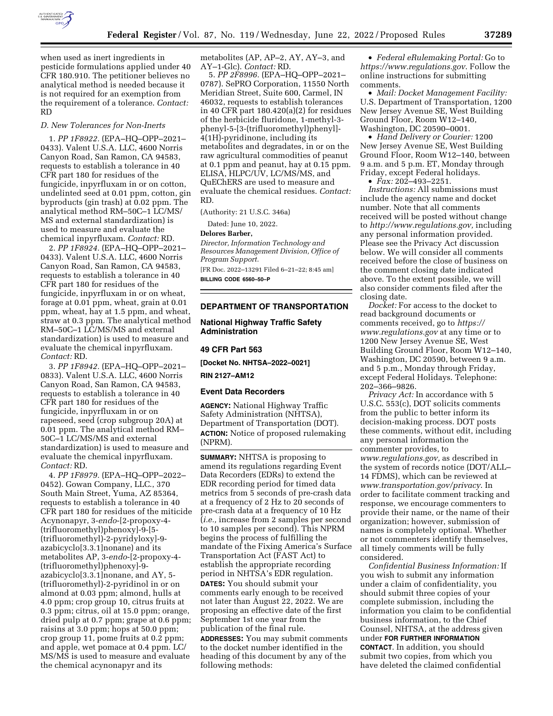

when used as inert ingredients in pesticide formulations applied under 40 CFR 180.910. The petitioner believes no analytical method is needed because it is not required for an exemption from the requirement of a tolerance. *Contact:*  RD

#### *D. New Tolerances for Non-Inerts*

1. *PP 1F8922.* (EPA–HQ–OPP–2021– 0433). Valent U.S.A. LLC, 4600 Norris Canyon Road, San Ramon, CA 94583, requests to establish a tolerance in 40 CFR part 180 for residues of the fungicide, inpyrfluxam in or on cotton, undelinted seed at 0.01 ppm, cotton, gin byproducts (gin trash) at 0.02 ppm. The analytical method RM–50C–1 LC/MS/ MS and external standardization) is used to measure and evaluate the chemical inpyrfluxam. *Contact:* RD.

2. *PP 1F8924.* (EPA–HQ–OPP–2021– 0433). Valent U.S.A. LLC, 4600 Norris Canyon Road, San Ramon, CA 94583, requests to establish a tolerance in 40 CFR part 180 for residues of the fungicide, inpyrfluxam in or on wheat, forage at 0.01 ppm, wheat, grain at 0.01 ppm, wheat, hay at 1.5 ppm, and wheat, straw at 0.3 ppm. The analytical method RM–50C–1 LC/MS/MS and external standardization) is used to measure and evaluate the chemical inpyrfluxam. *Contact:* RD.

3. *PP 1F8942.* (EPA–HQ–OPP–2021– 0833). Valent U.S.A. LLC, 4600 Norris Canyon Road, San Ramon, CA 94583, requests to establish a tolerance in 40 CFR part 180 for residues of the fungicide, inpyrfluxam in or on rapeseed, seed (crop subgroup 20A) at 0.01 ppm. The analytical method RM– 50C–1 LC/MS/MS and external standardization) is used to measure and evaluate the chemical inpyrfluxam. *Contact:* RD.

4. *PP 1F8979.* (EPA–HQ–OPP–2022– 0452). Gowan Company, LLC., 370 South Main Street, Yuma, AZ 85364, requests to establish a tolerance in 40 CFR part 180 for residues of the miticide Acynonapyr, 3-*endo*-[2-propoxy-4- (trifluoromethyl)phenoxy]-9-[5- (trifluoromethyl)-2-pyridyloxy]-9 azabicyclo[3.3.1]nonane) and its metabolites AP, 3-*endo*-[2-propoxy-4- (trifluoromethyl)phenoxy]-9 azabicyclo[3.3.1]nonane, and AY, 5- (trifluoromethyl)-2-pyridinol in or on almond at 0.03 ppm; almond, hulls at 4.0 ppm; crop group 10, citrus fruits at 0.3 ppm; citrus, oil at 15.0 ppm; orange, dried pulp at 0.7 ppm; grape at 0.6 ppm; raisins at 3.0 ppm; hops at 50.0 ppm; crop group 11, pome fruits at 0.2 ppm; and apple, wet pomace at 0.4 ppm. LC/ MS/MS is used to measure and evaluate the chemical acynonapyr and its

metabolites (AP, AP–2, AY, AY–3, and AY–1-Glc). *Contact:* RD.

5. *PP 2F8996.* (EPA–HQ–OPP–2021– 0787). SePRO Corporation, 11550 North Meridian Street, Suite 600, Carmel, IN 46032, requests to establish tolerances in 40 CFR part 180.420(a)(2) for residues of the herbicide fluridone, 1-methyl-3 phenyl-5-[3-(trifluoromethyl)phenyl]- 4(1H)-pyridinone, including its metabolites and degradates, in or on the raw agricultural commodities of peanut at 0.1 ppm and peanut, hay at 0.15 ppm. ELISA, HLPC/UV, LC/MS/MS, and QuEChERS are used to measure and evaluate the chemical residues. *Contact:*  RD.

(Authority: 21 U.S.C. 346a)

Dated: June 10, 2022.

#### **Delores Barber,**

*Director, Information Technology and Resources Management Division, Office of Program Support.*  [FR Doc. 2022–13291 Filed 6–21–22; 8:45 am]

**BILLING CODE 6560–50–P** 

## **DEPARTMENT OF TRANSPORTATION**

**National Highway Traffic Safety Administration** 

#### **49 CFR Part 563**

**[Docket No. NHTSA–2022–0021]** 

**RIN 2127–AM12** 

## **Event Data Recorders**

**AGENCY:** National Highway Traffic Safety Administration (NHTSA), Department of Transportation (DOT). **ACTION:** Notice of proposed rulemaking (NPRM).

**SUMMARY:** NHTSA is proposing to amend its regulations regarding Event Data Recorders (EDRs) to extend the EDR recording period for timed data metrics from 5 seconds of pre-crash data at a frequency of 2 Hz to 20 seconds of pre-crash data at a frequency of 10 Hz (*i.e.,* increase from 2 samples per second to 10 samples per second). This NPRM begins the process of fulfilling the mandate of the Fixing America's Surface Transportation Act (FAST Act) to establish the appropriate recording period in NHTSA's EDR regulation.

**DATES:** You should submit your comments early enough to be received not later than August 22, 2022. We are proposing an effective date of the first September 1st one year from the publication of the final rule.

**ADDRESSES:** You may submit comments to the docket number identified in the heading of this document by any of the following methods:

• *Federal eRulemaking Portal:* Go to *<https://www.regulations.gov>*. Follow the online instructions for submitting comments.

• *Mail: Docket Management Facility:*  U.S. Department of Transportation, 1200 New Jersey Avenue SE, West Building Ground Floor, Room W12–140, Washington, DC 20590–0001.

• *Hand Delivery or Courier:* 1200 New Jersey Avenue SE, West Building Ground Floor, Room W12–140, between 9 a.m. and 5 p.m. ET, Monday through Friday, except Federal holidays.

 $\cdot$  *Fax:* 202-493-2251.

*Instructions:* All submissions must include the agency name and docket number. Note that all comments received will be posted without change to *[http://www.regulations.gov,](http://www.regulations.gov)* including any personal information provided. Please see the Privacy Act discussion below. We will consider all comments received before the close of business on the comment closing date indicated above. To the extent possible, we will also consider comments filed after the closing date.

*Docket:* For access to the docket to read background documents or comments received, go to *[https://](https://www.regulations.gov) [www.regulations.gov](https://www.regulations.gov)* at any time or to 1200 New Jersey Avenue SE, West Building Ground Floor, Room W12–140, Washington, DC 20590, between 9 a.m. and 5 p.m., Monday through Friday, except Federal Holidays. Telephone: 202–366–9826.

*Privacy Act:* In accordance with 5 U.S.C. 553(c), DOT solicits comments from the public to better inform its decision-making process. DOT posts these comments, without edit, including any personal information the commenter provides, to *[www.regulations.gov,](http://www.regulations.gov)* as described in the system of records notice (DOT/ALL– 14 FDMS), which can be reviewed at *[www.transportation.gov/privacy](http://www.transportation.gov/privacy)*. In order to facilitate comment tracking and response, we encourage commenters to provide their name, or the name of their organization; however, submission of names is completely optional. Whether or not commenters identify themselves, all timely comments will be fully considered.

*Confidential Business Information:* If you wish to submit any information under a claim of confidentiality, you should submit three copies of your complete submission, including the information you claim to be confidential business information, to the Chief Counsel, NHTSA, at the address given under **FOR FURTHER INFORMATION CONTACT**. In addition, you should submit two copies, from which you have deleted the claimed confidential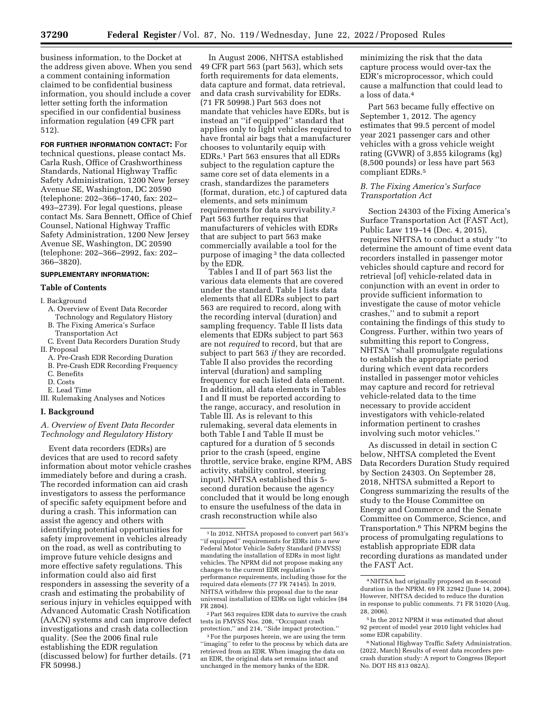business information, to the Docket at the address given above. When you send a comment containing information claimed to be confidential business information, you should include a cover letter setting forth the information specified in our confidential business information regulation (49 CFR part 512).

**FOR FURTHER INFORMATION CONTACT:** For technical questions, please contact Ms. Carla Rush, Office of Crashworthiness Standards, National Highway Traffic Safety Administration, 1200 New Jersey Avenue SE, Washington, DC 20590 (telephone: 202–366–1740, fax: 202– 493–2739). For legal questions, please contact Ms. Sara Bennett, Office of Chief Counsel, National Highway Traffic Safety Administration, 1200 New Jersey Avenue SE, Washington, DC 20590 (telephone: 202–366–2992, fax: 202– 366–3820).

# **SUPPLEMENTARY INFORMATION:**

## **Table of Contents**

#### I. Background

- A. Overview of Event Data Recorder Technology and Regulatory History
- B. The Fixing America's Surface Transportation Act
- C. Event Data Recorders Duration Study II. Proposal
	- A. Pre-Crash EDR Recording Duration
	- B. Pre-Crash EDR Recording Frequency
	- C. Benefits
	- D. Costs E. Lead Time
- III. Rulemaking Analyses and Notices

### **I. Background**

# *A. Overview of Event Data Recorder Technology and Regulatory History*

Event data recorders (EDRs) are devices that are used to record safety information about motor vehicle crashes immediately before and during a crash. The recorded information can aid crash investigators to assess the performance of specific safety equipment before and during a crash. This information can assist the agency and others with identifying potential opportunities for safety improvement in vehicles already on the road, as well as contributing to improve future vehicle designs and more effective safety regulations. This information could also aid first responders in assessing the severity of a crash and estimating the probability of serious injury in vehicles equipped with Advanced Automatic Crash Notification (AACN) systems and can improve defect investigations and crash data collection quality. (See the 2006 final rule establishing the EDR regulation (discussed below) for further details. (71 FR 50998.)

In August 2006, NHTSA established 49 CFR part 563 (part 563), which sets forth requirements for data elements, data capture and format, data retrieval, and data crash survivability for EDRs. (71 FR 50998.) Part 563 does not mandate that vehicles have EDRs, but is instead an ''if equipped'' standard that applies only to light vehicles required to have frontal air bags that a manufacturer chooses to voluntarily equip with EDRs.1 Part 563 ensures that all EDRs subject to the regulation capture the same core set of data elements in a crash, standardizes the parameters (format, duration, etc.) of captured data elements, and sets minimum requirements for data survivability.2 Part 563 further requires that manufacturers of vehicles with EDRs that are subject to part 563 make commercially available a tool for the purpose of imaging 3 the data collected by the EDR.

Tables I and II of part 563 list the various data elements that are covered under the standard. Table I lists data elements that all EDRs subject to part 563 are required to record, along with the recording interval (duration) and sampling frequency. Table II lists data elements that EDRs subject to part 563 are not *required* to record, but that are subject to part 563 *if* they are recorded. Table II also provides the recording interval (duration) and sampling frequency for each listed data element. In addition, all data elements in Tables I and II must be reported according to the range, accuracy, and resolution in Table III. As is relevant to this rulemaking, several data elements in both Table I and Table II must be captured for a duration of 5 seconds prior to the crash (speed, engine throttle, service brake, engine RPM, ABS activity, stability control, steering input). NHTSA established this 5 second duration because the agency concluded that it would be long enough to ensure the usefulness of the data in crash reconstruction while also

2Part 563 requires EDR data to survive the crash tests in FMVSS Nos. 208, ''Occupant crash protection,'' and 214, ''Side impact protection.''

3For the purposes herein, we are using the term ''imaging'' to refer to the process by which data are retrieved from an EDR. When imaging the data on an EDR, the original data set remains intact and unchanged in the memory banks of the EDR.

minimizing the risk that the data capture process would over-tax the EDR's microprocessor, which could cause a malfunction that could lead to a loss of data.4

Part 563 became fully effective on September 1, 2012. The agency estimates that 99.5 percent of model year 2021 passenger cars and other vehicles with a gross vehicle weight rating (GVWR) of 3,855 kilograms (kg) (8,500 pounds) or less have part 563 compliant EDRs.5

## *B. The Fixing America's Surface Transportation Act*

Section 24303 of the Fixing America's Surface Transportation Act (FAST Act), Public Law 119–14 (Dec. 4, 2015), requires NHTSA to conduct a study ''to determine the amount of time event data recorders installed in passenger motor vehicles should capture and record for retrieval [of] vehicle-related data in conjunction with an event in order to provide sufficient information to investigate the cause of motor vehicle crashes,'' and to submit a report containing the findings of this study to Congress. Further, within two years of submitting this report to Congress, NHTSA ''shall promulgate regulations to establish the appropriate period during which event data recorders installed in passenger motor vehicles may capture and record for retrieval vehicle-related data to the time necessary to provide accident investigators with vehicle-related information pertinent to crashes involving such motor vehicles.''

As discussed in detail in section C below, NHTSA completed the Event Data Recorders Duration Study required by Section 24303. On September 28, 2018, NHTSA submitted a Report to Congress summarizing the results of the study to the House Committee on Energy and Commerce and the Senate Committee on Commerce, Science, and Transportation.6 This NPRM begins the process of promulgating regulations to establish appropriate EDR data recording durations as mandated under the FAST Act.

<sup>1</sup> In 2012, NHTSA proposed to convert part 563's ''if equipped'' requirements for EDRs into a new Federal Motor Vehicle Safety Standard (FMVSS) mandating the installation of EDRs in most light vehicles. The NPRM did not propose making any changes to the current EDR regulation's performance requirements, including those for the required data elements (77 FR 74145). In 2019, NHTSA withdrew this proposal due to the near universal installation of EDRs on light vehicles (84 FR 2804).

<sup>4</sup>NHTSA had originally proposed an 8-second duration in the NPRM. 69 FR 32942 (June 14, 2004). However, NHTSA decided to reduce the duration in response to public comments. 71 FR 51020 (Aug. 28, 2006).

<sup>5</sup> In the 2012 NPRM it was estimated that about 92 percent of model year 2010 light vehicles had some EDR capability.

<sup>&</sup>lt;sup>6</sup> National Highway Traffic Safety Administration. (2022, March) Results of event data recorders precrash duration study: A report to Congress (Report No. DOT HS 813 082A).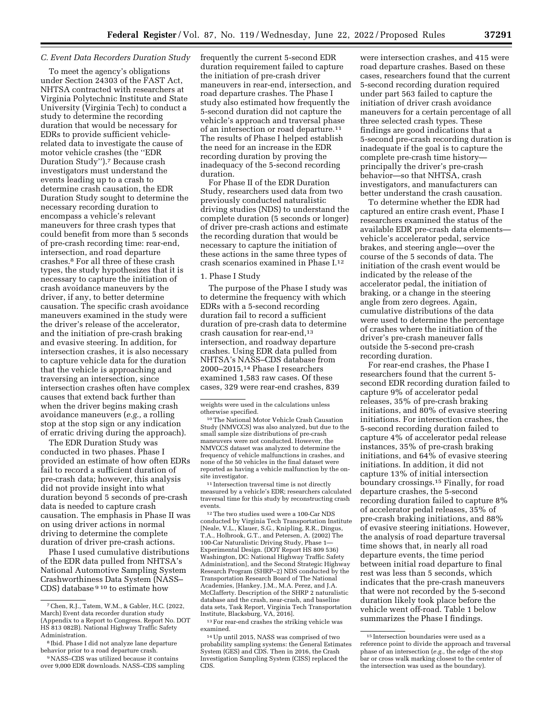# *C. Event Data Recorders Duration Study*

To meet the agency's obligations under Section 24303 of the FAST Act, NHTSA contracted with researchers at Virginia Polytechnic Institute and State University (Virginia Tech) to conduct a study to determine the recording duration that would be necessary for EDRs to provide sufficient vehiclerelated data to investigate the cause of motor vehicle crashes (the ''EDR Duration Study'').7 Because crash investigators must understand the events leading up to a crash to determine crash causation, the EDR Duration Study sought to determine the necessary recording duration to encompass a vehicle's relevant maneuvers for three crash types that could benefit from more than 5 seconds of pre-crash recording time: rear-end, intersection, and road departure crashes.8 For all three of these crash types, the study hypothesizes that it is necessary to capture the initiation of crash avoidance maneuvers by the driver, if any, to better determine causation. The specific crash avoidance maneuvers examined in the study were the driver's release of the accelerator, and the initiation of pre-crash braking and evasive steering. In addition, for intersection crashes, it is also necessary to capture vehicle data for the duration that the vehicle is approaching and traversing an intersection, since intersection crashes often have complex causes that extend back further than when the driver begins making crash avoidance maneuvers (*e.g.,* a rolling stop at the stop sign or any indication of erratic driving during the approach).

The EDR Duration Study was conducted in two phases. Phase I provided an estimate of how often EDRs fail to record a sufficient duration of pre-crash data; however, this analysis did not provide insight into what duration beyond 5 seconds of pre-crash data is needed to capture crash causation. The emphasis in Phase II was on using driver actions in normal driving to determine the complete duration of driver pre-crash actions.

Phase I used cumulative distributions of the EDR data pulled from NHTSA's National Automotive Sampling System Crashworthiness Data System (NASS– CDS) database 9 10 to estimate how

frequently the current 5-second EDR duration requirement failed to capture the initiation of pre-crash driver maneuvers in rear-end, intersection, and road departure crashes. The Phase I study also estimated how frequently the 5-second duration did not capture the vehicle's approach and traversal phase of an intersection or road departure.11 The results of Phase I helped establish the need for an increase in the EDR recording duration by proving the inadequacy of the 5-second recording duration.

For Phase II of the EDR Duration Study, researchers used data from two previously conducted naturalistic driving studies (NDS) to understand the complete duration (5 seconds or longer) of driver pre-crash actions and estimate the recording duration that would be necessary to capture the initiation of these actions in the same three types of crash scenarios examined in Phase I.12

## 1. Phase I Study

The purpose of the Phase I study was to determine the frequency with which EDRs with a 5-second recording duration fail to record a sufficient duration of pre-crash data to determine crash causation for rear-end,13 intersection, and roadway departure crashes. Using EDR data pulled from NHTSA's NASS–CDS database from 2000–2015,14 Phase I researchers examined 1,583 raw cases. Of these cases, 329 were rear-end crashes, 839

<sup>10</sup>The National Motor Vehicle Crash Causation Study (NMVCCS) was also analyzed, but due to the small sample size distributions of pre-crash maneuvers were not conducted. However, the NMVCCS dataset was analyzed to determine the frequency of vehicle malfunctions in crashes, and none of the 50 vehicles in the final dataset were reported as having a vehicle malfunction by the onsite investigator.

<sup>11</sup> Intersection traversal time is not directly measured by a vehicle's EDR; researchers calculated traversal time for this study by reconstructing crash events.

12The two studies used were a 100-Car NDS conducted by Virginia Tech Transportation Institute [Neale, V.L., Klauer, S.G., Knipling, R.R., Dingus, T.A., Holbrook, G.T., and Petersen, A. (2002) The 100-Car Naturalistic Driving Study, Phase 1— Experimental Design. (DOT Report HS 809 536) Washington, DC: National Highway Traffic Safety Administration], and the Second Strategic Highway Research Program (SHRP–2) NDS conducted by the Transportation Research Board of The National Academies, [Hankey, J.M., M.A. Perez, and J.A. McClafferty. Description of the SHRP 2 naturalistic database and the crash, near-crash, and baseline data sets, Task Report, Virginia Tech Transportation Institute, Blacksburg, VA, 2016].

13For rear-end crashes the striking vehicle was examined.

were intersection crashes, and 415 were road departure crashes. Based on these cases, researchers found that the current 5-second recording duration required under part 563 failed to capture the initiation of driver crash avoidance maneuvers for a certain percentage of all three selected crash types. These findings are good indications that a 5-second pre-crash recording duration is inadequate if the goal is to capture the complete pre-crash time history principally the driver's pre-crash behavior—so that NHTSA, crash investigators, and manufacturers can better understand the crash causation.

To determine whether the EDR had captured an entire crash event, Phase I researchers examined the status of the available EDR pre-crash data elements vehicle's accelerator pedal, service brakes, and steering angle—over the course of the 5 seconds of data. The initiation of the crash event would be indicated by the release of the accelerator pedal, the initiation of braking, or a change in the steering angle from zero degrees. Again, cumulative distributions of the data were used to determine the percentage of crashes where the initiation of the driver's pre-crash maneuver falls outside the 5-second pre-crash recording duration.

For rear-end crashes, the Phase I researchers found that the current 5 second EDR recording duration failed to capture 9% of accelerator pedal releases, 35% of pre-crash braking initiations, and 80% of evasive steering initiations. For intersection crashes, the 5-second recording duration failed to capture 4% of accelerator pedal release instances, 35% of pre-crash braking initiations, and 64% of evasive steering initiations. In addition, it did not capture 13% of initial intersection boundary crossings.15 Finally, for road departure crashes, the 5-second recording duration failed to capture 8% of accelerator pedal releases, 35% of pre-crash braking initiations, and 88% of evasive steering initiations. However, the analysis of road departure traversal time shows that, in nearly all road departure events, the time period between initial road departure to final rest was less than 5 seconds, which indicates that the pre-crash maneuvers that were not recorded by the 5-second duration likely took place before the vehicle went off-road. Table 1 below summarizes the Phase I findings.

<sup>7</sup>Chen, R.J., Tatem, W.M., & Gabler, H.C. (2022, March) Event data recorder duration study (Appendix to a Report to Congress. Report No. DOT HS 813 082B). National Highway Traffic Safety Administration.

<sup>8</sup> Ibid. Phase I did not analyze lane departure behavior prior to a road departure crash.

<sup>9</sup>NASS–CDS was utilized because it contains over 9,000 EDR downloads. NASS–CDS sampling

weights were used in the calculations unless

<sup>14</sup>Up until 2015, NASS was comprised of two probability sampling systems: the General Estimates System (GES) and CDS. Then in 2016, the Crash Investigation Sampling System (CISS) replaced the CDS.

 $^{\rm 15}\!$  Intersection boundaries were used as a reference point to divide the approach and traversal phase of an intersection (*e.g.,* the edge of the stop bar or cross walk marking closest to the center of the intersection was used as the boundary).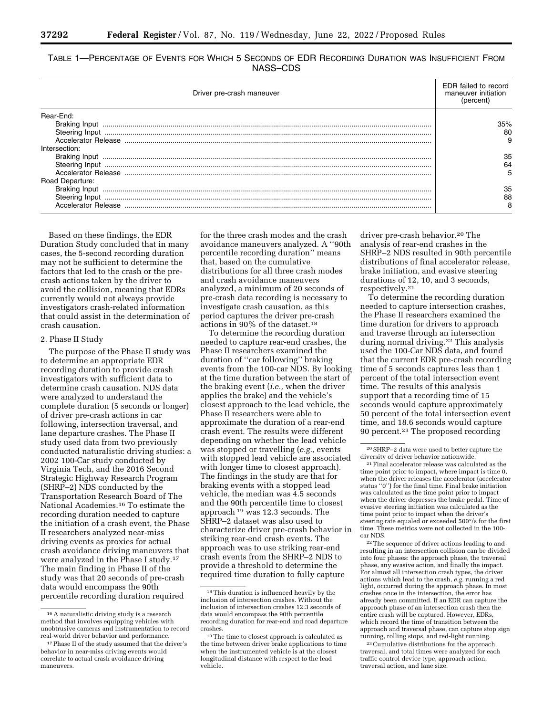TABLE 1—PERCENTAGE OF EVENTS FOR WHICH 5 SECONDS OF EDR RECORDING DURATION WAS INSUFFICIENT FROM NASS–CDS

| Driver pre-crash maneuver            | EDR failed to record<br>maneuver initiation<br>(percent) |
|--------------------------------------|----------------------------------------------------------|
| Rear-End:<br>Braking Input           | 35%<br>80                                                |
| Intersection:<br>Road Departure:     | 35<br>64                                                 |
| Braking Input<br>Accelerator Release | 35<br>88                                                 |

Based on these findings, the EDR Duration Study concluded that in many cases, the 5-second recording duration may not be sufficient to determine the factors that led to the crash or the precrash actions taken by the driver to avoid the collision, meaning that EDRs currently would not always provide investigators crash-related information that could assist in the determination of crash causation.

#### 2. Phase II Study

The purpose of the Phase II study was to determine an appropriate EDR recording duration to provide crash investigators with sufficient data to determine crash causation. NDS data were analyzed to understand the complete duration (5 seconds or longer) of driver pre-crash actions in car following, intersection traversal, and lane departure crashes. The Phase II study used data from two previously conducted naturalistic driving studies: a 2002 100-Car study conducted by Virginia Tech, and the 2016 Second Strategic Highway Research Program (SHRP–2) NDS conducted by the Transportation Research Board of The National Academies.16 To estimate the recording duration needed to capture the initiation of a crash event, the Phase II researchers analyzed near-miss driving events as proxies for actual crash avoidance driving maneuvers that were analyzed in the Phase I study.17 The main finding in Phase II of the study was that 20 seconds of pre-crash data would encompass the 90th percentile recording duration required

for the three crash modes and the crash avoidance maneuvers analyzed. A ''90th percentile recording duration'' means that, based on the cumulative distributions for all three crash modes and crash avoidance maneuvers analyzed, a minimum of 20 seconds of pre-crash data recording is necessary to investigate crash causation, as this period captures the driver pre-crash actions in 90% of the dataset.18

To determine the recording duration needed to capture rear-end crashes, the Phase II researchers examined the duration of ''car following'' braking events from the 100-car NDS. By looking at the time duration between the start of the braking event (*i.e.,* when the driver applies the brake) and the vehicle's closest approach to the lead vehicle, the Phase II researchers were able to approximate the duration of a rear-end crash event. The results were different depending on whether the lead vehicle was stopped or travelling (*e.g.,* events with stopped lead vehicle are associated with longer time to closest approach). The findings in the study are that for braking events with a stopped lead vehicle, the median was 4.5 seconds and the 90th percentile time to closest approach 19 was 12.3 seconds. The SHRP–2 dataset was also used to characterize driver pre-crash behavior in striking rear-end crash events. The approach was to use striking rear-end crash events from the SHRP–2 NDS to provide a threshold to determine the required time duration to fully capture

driver pre-crash behavior.20 The analysis of rear-end crashes in the SHRP–2 NDS resulted in 90th percentile distributions of final accelerator release, brake initiation, and evasive steering durations of 12, 10, and 3 seconds, respectively.21

To determine the recording duration needed to capture intersection crashes, the Phase II researchers examined the time duration for drivers to approach and traverse through an intersection during normal driving.<sup>22</sup> This analysis used the 100-Car NDS data, and found that the current EDR pre-crash recording time of 5 seconds captures less than 1 percent of the total intersection event time. The results of this analysis support that a recording time of 15 seconds would capture approximately 50 percent of the total intersection event time, and 18.6 seconds would capture 90 percent.23 The proposed recording

<sup>21</sup> Final accelerator release was calculated as the time point prior to impact, where impact is time 0, when the driver releases the accelerator (accelerator status ''0'') for the final time. Final brake initiation was calculated as the time point prior to impact when the driver depresses the brake pedal. Time of evasive steering initiation was calculated as the time point prior to impact when the driver's steering rate equaled or exceeded 500°/s for the first time. These metrics were not collected in the 100 car NDS.

22The sequence of driver actions leading to and resulting in an intersection collision can be divided into four phases: the approach phase, the traversal phase, any evasive action, and finally the impact. For almost all intersection crash types, the driver actions which lead to the crash, *e.g.* running a red light, occurred during the approach phase. In most crashes once in the intersection, the error has already been committed. If an EDR can capture the approach phase of an intersection crash then the entire crash will be captured. However, EDRs, which record the time of transition between the approach and traversal phase, can capture stop sign running, rolling stops, and red-light running.

23Cumulative distributions for the approach, traversal, and total times were analyzed for each traffic control device type, approach action, traversal action, and lane size.

<sup>16</sup>A naturalistic driving study is a research method that involves equipping vehicles with unobtrusive cameras and instrumentation to record real-world driver behavior and performance.

<sup>17</sup>Phase II of the study assumed that the driver's behavior in near-miss driving events would correlate to actual crash avoidance driving maneuvers.

<sup>18</sup>This duration is influenced heavily by the inclusion of intersection crashes. Without the inclusion of intersection crashes 12.3 seconds of data would encompass the 90th percentile recording duration for rear-end and road departure crashes.

<sup>19</sup>The time to closest approach is calculated as the time between driver brake applications to time when the instrumented vehicle is at the closest longitudinal distance with respect to the lead vehicle.

<sup>&</sup>lt;sup>20</sup> SHRP–2 data were used to better capture the diversity of driver behavior nationwide.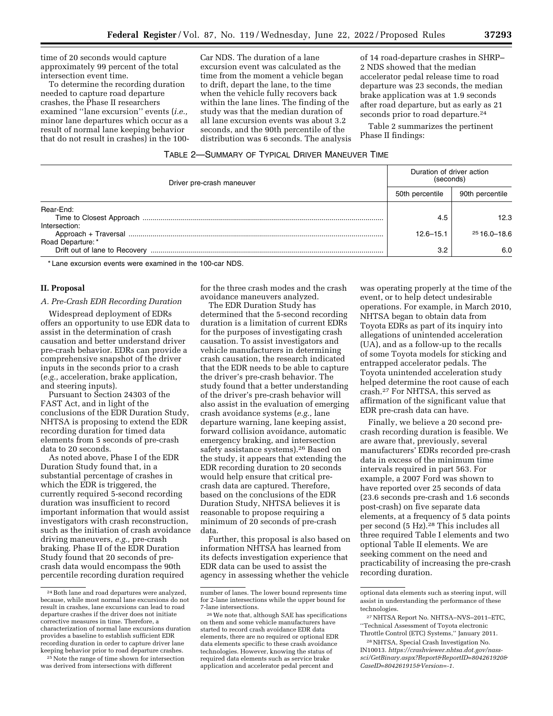time of 20 seconds would capture approximately 99 percent of the total intersection event time.

To determine the recording duration needed to capture road departure crashes, the Phase II researchers examined ''lane excursion'' events (*i.e.,*  minor lane departures which occur as a result of normal lane keeping behavior that do not result in crashes) in the 100-

Car NDS. The duration of a lane excursion event was calculated as the time from the moment a vehicle began to drift, depart the lane, to the time when the vehicle fully recovers back within the lane lines. The finding of the study was that the median duration of all lane excursion events was about 3.2 seconds, and the 90th percentile of the distribution was 6 seconds. The analysis

of 14 road-departure crashes in SHRP– 2 NDS showed that the median accelerator pedal release time to road departure was 23 seconds, the median brake application was at 1.9 seconds after road departure, but as early as 21 seconds prior to road departure.<sup>24</sup>

Table 2 summarizes the pertinent Phase II findings:

# TABLE 2—SUMMARY OF TYPICAL DRIVER MANEUVER TIME

| Duration of driver action<br>(seconds) |                 |  |
|----------------------------------------|-----------------|--|
| 50th percentile                        | 90th percentile |  |
|                                        | 12.3            |  |
| $12.6 - 15.1$                          | $2516.0 - 18.6$ |  |
| 3.2                                    | 6.0             |  |
|                                        | 4.5             |  |

\* Lane excursion events were examined in the 100-car NDS.

## **II. Proposal**

# *A. Pre-Crash EDR Recording Duration*

Widespread deployment of EDRs offers an opportunity to use EDR data to assist in the determination of crash causation and better understand driver pre-crash behavior. EDRs can provide a comprehensive snapshot of the driver inputs in the seconds prior to a crash (*e.g.,* acceleration, brake application, and steering inputs).

Pursuant to Section 24303 of the FAST Act, and in light of the conclusions of the EDR Duration Study, NHTSA is proposing to extend the EDR recording duration for timed data elements from 5 seconds of pre-crash data to 20 seconds.

As noted above, Phase I of the EDR Duration Study found that, in a substantial percentage of crashes in which the EDR is triggered, the currently required 5-second recording duration was insufficient to record important information that would assist investigators with crash reconstruction, such as the initiation of crash avoidance driving maneuvers, *e.g.,* pre-crash braking. Phase II of the EDR Duration Study found that 20 seconds of precrash data would encompass the 90th percentile recording duration required

25Note the range of time shown for intersection was derived from intersections with different

for the three crash modes and the crash avoidance maneuvers analyzed.

The EDR Duration Study has determined that the 5-second recording duration is a limitation of current EDRs for the purposes of investigating crash causation. To assist investigators and vehicle manufacturers in determining crash causation, the research indicated that the EDR needs to be able to capture the driver's pre-crash behavior. The study found that a better understanding of the driver's pre-crash behavior will also assist in the evaluation of emerging crash avoidance systems (*e.g.,* lane departure warning, lane keeping assist, forward collision avoidance, automatic emergency braking, and intersection safety assistance systems).26 Based on the study, it appears that extending the EDR recording duration to 20 seconds would help ensure that critical precrash data are captured. Therefore, based on the conclusions of the EDR Duration Study, NHTSA believes it is reasonable to propose requiring a minimum of 20 seconds of pre-crash data.

Further, this proposal is also based on information NHTSA has learned from its defects investigation experience that EDR data can be used to assist the agency in assessing whether the vehicle

was operating properly at the time of the event, or to help detect undesirable operations. For example, in March 2010, NHTSA began to obtain data from Toyota EDRs as part of its inquiry into allegations of unintended acceleration (UA), and as a follow-up to the recalls of some Toyota models for sticking and entrapped accelerator pedals. The Toyota unintended acceleration study helped determine the root cause of each crash.27 For NHTSA, this served as affirmation of the significant value that EDR pre-crash data can have.

Finally, we believe a 20 second precrash recording duration is feasible. We are aware that, previously, several manufacturers' EDRs recorded pre-crash data in excess of the minimum time intervals required in part 563. For example, a 2007 Ford was shown to have reported over 25 seconds of data (23.6 seconds pre-crash and 1.6 seconds post-crash) on five separate data elements, at a frequency of 5 data points per second (5 Hz).<sup>28</sup> This includes all three required Table I elements and two optional Table II elements. We are seeking comment on the need and practicability of increasing the pre-crash recording duration.

<sup>24</sup>Both lane and road departures were analyzed, because, while most normal lane excursions do not result in crashes, lane excursions can lead to road departure crashes if the driver does not initiate corrective measures in time. Therefore, a characterization of normal lane excursions duration provides a baseline to establish sufficient EDR recording duration in order to capture driver lane keeping behavior prior to road departure crashes.

number of lanes. The lower bound represents time for 2-lane intersections while the upper bound for 7-lane intersections.

<sup>26</sup>We note that, although SAE has specifications on them and some vehicle manufacturers have started to record crash avoidance EDR data elements, there are no required or optional EDR data elements specific to these crash avoidance technologies. However, knowing the status of required data elements such as service brake application and accelerator pedal percent and

optional data elements such as steering input, will assist in understanding the performance of these technologies.

<sup>27</sup>NHTSA Report No. NHTSA–NVS–2011–ETC, ''Technical Assessment of Toyota electronic Throttle Control (ETC) Systems,'' January 2011.

<sup>28</sup>NHTSA, Special Crash Investigation No. IN10013. *[https://crashviewer.nhtsa.dot.gov/nass](https://crashviewer.nhtsa.dot.gov/nass-sci/GetBinary.aspx?Report&ReportID=804261920&CaseID=804261915&Version=-1)[sci/GetBinary.aspx?Report&ReportID=804261920&](https://crashviewer.nhtsa.dot.gov/nass-sci/GetBinary.aspx?Report&ReportID=804261920&CaseID=804261915&Version=-1) [CaseID=804261915&Version=-1](https://crashviewer.nhtsa.dot.gov/nass-sci/GetBinary.aspx?Report&ReportID=804261920&CaseID=804261915&Version=-1)*.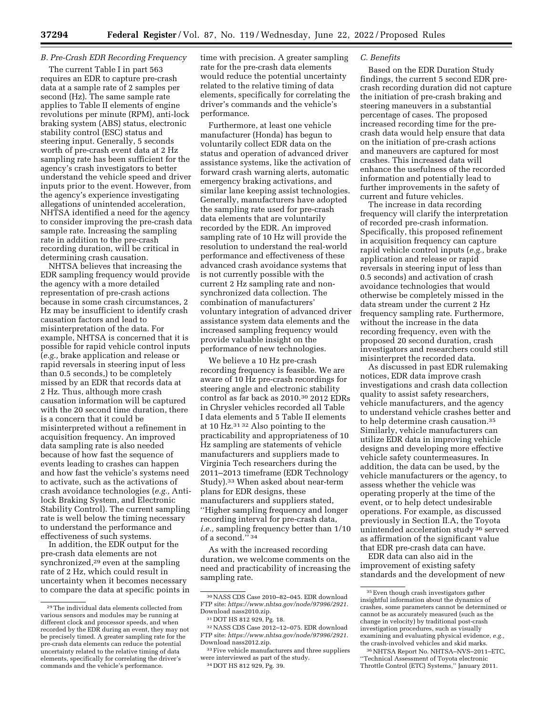# *B. Pre-Crash EDR Recording Frequency*

The current Table I in part 563 requires an EDR to capture pre-crash data at a sample rate of 2 samples per second (Hz). The same sample rate applies to Table II elements of engine revolutions per minute (RPM), anti-lock braking system (ABS) status, electronic stability control (ESC) status and steering input. Generally, 5 seconds worth of pre-crash event data at 2 Hz sampling rate has been sufficient for the agency's crash investigators to better understand the vehicle speed and driver inputs prior to the event. However, from the agency's experience investigating allegations of unintended acceleration, NHTSA identified a need for the agency to consider improving the pre-crash data sample rate. Increasing the sampling rate in addition to the pre-crash recording duration, will be critical in determining crash causation.

NHTSA believes that increasing the EDR sampling frequency would provide the agency with a more detailed representation of pre-crash actions because in some crash circumstances, 2 Hz may be insufficient to identify crash causation factors and lead to misinterpretation of the data. For example, NHTSA is concerned that it is possible for rapid vehicle control inputs (*e.g.,* brake application and release or rapid reversals in steering input of less than 0.5 seconds,) to be completely missed by an EDR that records data at 2 Hz. Thus, although more crash causation information will be captured with the 20 second time duration, there is a concern that it could be misinterpreted without a refinement in acquisition frequency. An improved data sampling rate is also needed because of how fast the sequence of events leading to crashes can happen and how fast the vehicle's systems need to activate, such as the activations of crash avoidance technologies (*e.g.,* Antilock Braking System, and Electronic Stability Control). The current sampling rate is well below the timing necessary to understand the performance and effectiveness of such systems.

In addition, the EDR output for the pre-crash data elements are not synchronized,<sup>29</sup> even at the sampling rate of 2 Hz, which could result in uncertainty when it becomes necessary to compare the data at specific points in

time with precision. A greater sampling rate for the pre-crash data elements would reduce the potential uncertainty related to the relative timing of data elements, specifically for correlating the driver's commands and the vehicle's performance.

Furthermore, at least one vehicle manufacturer (Honda) has begun to voluntarily collect EDR data on the status and operation of advanced driver assistance systems, like the activation of forward crash warning alerts, automatic emergency braking activations, and similar lane keeping assist technologies. Generally, manufacturers have adopted the sampling rate used for pre-crash data elements that are voluntarily recorded by the EDR. An improved sampling rate of 10 Hz will provide the resolution to understand the real-world performance and effectiveness of these advanced crash avoidance systems that is not currently possible with the current 2 Hz sampling rate and nonsynchronized data collection. The combination of manufacturers' voluntary integration of advanced driver assistance system data elements and the increased sampling frequency would provide valuable insight on the performance of new technologies.

We believe a 10 Hz pre-crash recording frequency is feasible. We are aware of 10 Hz pre-crash recordings for steering angle and electronic stability control as far back as 2010.30 2012 EDRs in Chrysler vehicles recorded all Table I data elements and 5 Table II elements at 10 Hz.31 32 Also pointing to the practicability and appropriateness of 10 Hz sampling are statements of vehicle manufacturers and suppliers made to Virginia Tech researchers during the 2011–2013 timeframe (EDR Technology Study).33 When asked about near-term plans for EDR designs, these manufacturers and suppliers stated, ''Higher sampling frequency and longer recording interval for pre-crash data, *i.e.,* sampling frequency better than 1/10 of a second."<sup>34</sup>

As with the increased recording duration, we welcome comments on the need and practicability of increasing the sampling rate.

34 DOT HS 812 929, Pg. 39.

#### *C. Benefits*

Based on the EDR Duration Study findings, the current 5 second EDR precrash recording duration did not capture the initiation of pre-crash braking and steering maneuvers in a substantial percentage of cases. The proposed increased recording time for the precrash data would help ensure that data on the initiation of pre-crash actions and maneuvers are captured for most crashes. This increased data will enhance the usefulness of the recorded information and potentially lead to further improvements in the safety of current and future vehicles.

The increase in data recording frequency will clarify the interpretation of recorded pre-crash information. Specifically, this proposed refinement in acquisition frequency can capture rapid vehicle control inputs (*e.g.,* brake application and release or rapid reversals in steering input of less than 0.5 seconds) and activation of crash avoidance technologies that would otherwise be completely missed in the data stream under the current 2 Hz frequency sampling rate. Furthermore, without the increase in the data recording frequency, even with the proposed 20 second duration, crash investigators and researchers could still misinterpret the recorded data.

As discussed in past EDR rulemaking notices, EDR data improve crash investigations and crash data collection quality to assist safety researchers, vehicle manufacturers, and the agency to understand vehicle crashes better and to help determine crash causation.35 Similarly, vehicle manufacturers can utilize EDR data in improving vehicle designs and developing more effective vehicle safety countermeasures. In addition, the data can be used, by the vehicle manufacturers or the agency, to assess whether the vehicle was operating properly at the time of the event, or to help detect undesirable operations. For example, as discussed previously in Section II.A, the Toyota unintended acceleration study 36 served as affirmation of the significant value that EDR pre-crash data can have.

EDR data can also aid in the improvement of existing safety standards and the development of new

<sup>29</sup>The individual data elements collected from various sensors and modules may be running at different clock and processor speeds, and when recorded by the EDR during an event, they may not be precisely timed. A greater sampling rate for the pre-crash data elements can reduce the potential uncertainty related to the relative timing of data elements, specifically for correlating the driver's commands and the vehicle's performance.

<sup>30</sup>NASS CDS Case 2010–82–045. EDR download FTP site: *<https://www.nhtsa.gov/node/97996/2921>*. Download nass2010.zip.

<sup>31</sup> DOT HS 812 929, Pg. 18.

<sup>32</sup>NASS CDS Case 2012–12–075. EDR download FTP site: *<https://www.nhtsa.gov/node/97996/2921>*. Download nass2012.zip.

<sup>&</sup>lt;sup>33</sup> Five vehicle manufacturers and three suppliers were interviewed as part of the study.

<sup>35</sup>Even though crash investigators gather insightful information about the dynamics of crashes, some parameters cannot be determined or cannot be as accurately measured (such as the change in velocity) by traditional post-crash investigation procedures, such as visually examining and evaluating physical evidence, *e.g.,*  the crash-involved vehicles and skid marks.

<sup>36</sup>NHTSA Report No. NHTSA–NVS–2011–ETC, ''Technical Assessment of Toyota electronic Throttle Control (ETC) Systems,'' January 2011.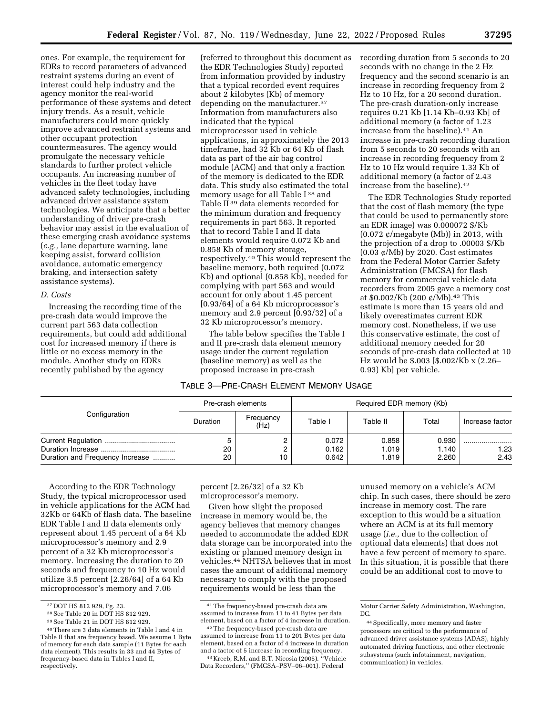ones. For example, the requirement for EDRs to record parameters of advanced restraint systems during an event of interest could help industry and the agency monitor the real-world performance of these systems and detect injury trends. As a result, vehicle manufacturers could more quickly improve advanced restraint systems and other occupant protection countermeasures. The agency would promulgate the necessary vehicle standards to further protect vehicle occupants. An increasing number of vehicles in the fleet today have advanced safety technologies, including advanced driver assistance system technologies. We anticipate that a better understanding of driver pre-crash behavior may assist in the evaluation of these emerging crash avoidance systems (*e.g.,* lane departure warning, lane keeping assist, forward collision avoidance, automatic emergency braking, and intersection safety assistance systems).

#### *D. Costs*

Increasing the recording time of the pre-crash data would improve the current part 563 data collection requirements, but could add additional cost for increased memory if there is little or no excess memory in the module. Another study on EDRs recently published by the agency

(referred to throughout this document as the EDR Technologies Study) reported from information provided by industry that a typical recorded event requires about 2 kilobytes (Kb) of memory depending on the manufacturer.37 Information from manufacturers also indicated that the typical microprocessor used in vehicle applications, in approximately the 2013 timeframe, had 32 Kb or 64 Kb of flash data as part of the air bag control module (ACM) and that only a fraction of the memory is dedicated to the EDR data. This study also estimated the total memory usage for all Table I 38 and Table II 39 data elements recorded for the minimum duration and frequency requirements in part 563. It reported that to record Table I and II data elements would require 0.072 Kb and 0.858 Kb of memory storage, respectively.40 This would represent the baseline memory, both required (0.072 Kb) and optional (0.858 Kb), needed for complying with part 563 and would account for only about 1.45 percent [0.93/64] of a 64 Kb microprocessor's memory and 2.9 percent [0.93/32] of a 32 Kb microprocessor's memory.

The table below specifies the Table I and II pre-crash data element memory usage under the current regulation (baseline memory) as well as the proposed increase in pre-crash

## TABLE 3—PRE-CRASH ELEMENT MEMORY USAGE

recording duration from 5 seconds to 20 seconds with no change in the 2 Hz frequency and the second scenario is an increase in recording frequency from 2 Hz to 10 Hz, for a 20 second duration. The pre-crash duration-only increase requires 0.21 Kb [1.14 Kb–0.93 Kb] of additional memory (a factor of 1.23 increase from the baseline).41 An increase in pre-crash recording duration from 5 seconds to 20 seconds with an increase in recording frequency from 2 Hz to 10 Hz would require 1.33 Kb of additional memory (a factor of 2.43 increase from the baseline).42

The EDR Technologies Study reported that the cost of flash memory (the type that could be used to permanently store an EDR image) was 0.000072 \$/Kb  $(0.072 \text{ } \phi/m$ egabyte (Mb)) in 2013, with the projection of a drop to .00003 \$/Kb  $(0.03 \; \varphi/Mb)$  by 2020. Cost estimates from the Federal Motor Carrier Safety Administration (FMCSA) for flash memory for commercial vehicle data recorders from 2005 gave a memory cost at \$0.002/Kb (200 ¢/Mb).43 This estimate is more than 15 years old and likely overestimates current EDR memory cost. Nonetheless, if we use this conservative estimate, the cost of additional memory needed for 20 seconds of pre-crash data collected at 10 Hz would be \$.003 [\$.002/Kb x (2.26– 0.93) Kb] per vehicle.

|                                 | Pre-crash elements |                   | Required EDR memory (Kb) |                         |                         |                 |
|---------------------------------|--------------------|-------------------|--------------------------|-------------------------|-------------------------|-----------------|
| Configuration                   | Duration           | Frequency<br>(Hz) | Table I                  | Table II                | Total                   | Increase factor |
| Duration and Frequency Increase | 20<br>20           | 10                | 0.072<br>0.162<br>0.642  | 0.858<br>1.019<br>1.819 | 0.930<br>1.140<br>2.260 | 1.23<br>2.43    |

According to the EDR Technology Study, the typical microprocessor used in vehicle applications for the ACM had 32Kb or 64Kb of flash data. The baseline EDR Table I and II data elements only represent about 1.45 percent of a 64 Kb microprocessor's memory and 2.9 percent of a 32 Kb microprocessor's memory. Increasing the duration to 20 seconds and frequency to 10 Hz would utilize 3.5 percent [2.26/64] of a 64 Kb microprocessor's memory and 7.06

percent [2.26/32] of a 32 Kb microprocessor's memory.

Given how slight the proposed increase in memory would be, the agency believes that memory changes needed to accommodate the added EDR data storage can be incorporated into the existing or planned memory design in vehicles.44 NHTSA believes that in most cases the amount of additional memory necessary to comply with the proposed requirements would be less than the

unused memory on a vehicle's ACM chip. In such cases, there should be zero increase in memory cost. The rare exception to this would be a situation where an ACM is at its full memory usage (*i.e.,* due to the collection of optional data elements) that does not have a few percent of memory to spare. In this situation, it is possible that there could be an additional cost to move to

<sup>&</sup>lt;sup>37</sup> DOT HS 812 929, Pg. 23.<br><sup>38</sup> See Table 20 in DOT HS 812 929.

<sup>39</sup>See Table 21 in DOT HS 812 929.

<sup>40</sup>There are 3 data elements in Table I and 4 in Table II that are frequency based. We assume 1 Byte of memory for each data sample (11 Bytes for each data element). This results in 33 and 44 Bytes of frequency-based data in Tables I and II, respectively.

<sup>41</sup>The frequency-based pre-crash data are assumed to increase from 11 to 41 Bytes per data element, based on a factor of 4 increase in duration.

<sup>42</sup>The frequency-based pre-crash data are assumed to increase from 11 to 201 Bytes per data element, based on a factor of 4 increase in duration and a factor of 5 increase in recording frequency.

<sup>43</sup> Kreeb, R.M. and B.T. Nicosia (2005). ''Vehicle Data Recorders,'' (FMCSA–PSV–06–001). Federal

Motor Carrier Safety Administration, Washington, DC.

<sup>44</sup>Specifically, more memory and faster processors are critical to the performance of advanced driver assistance systems (ADAS), highly automated driving functions, and other electronic subsystems (such infotainment, navigation, communication) in vehicles.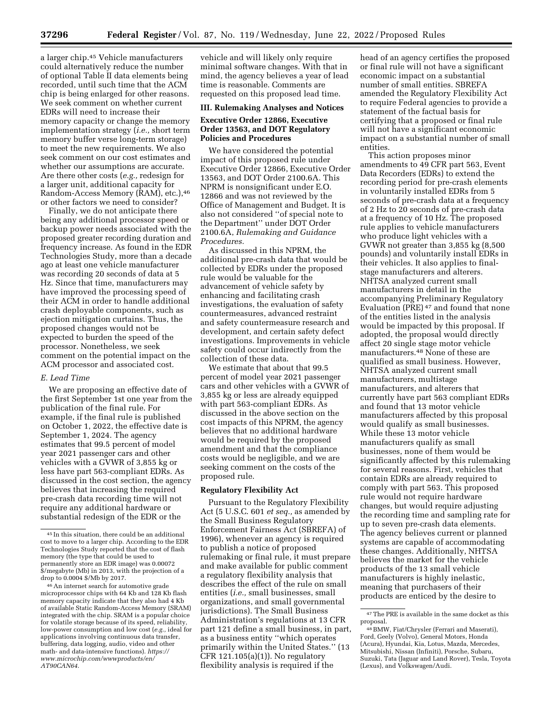a larger chip.45 Vehicle manufacturers could alternatively reduce the number of optional Table II data elements being recorded, until such time that the ACM chip is being enlarged for other reasons. We seek comment on whether current EDRs will need to increase their memory capacity or change the memory implementation strategy (*i.e.,* short term memory buffer verse long-term storage) to meet the new requirements. We also seek comment on our cost estimates and whether our assumptions are accurate. Are there other costs (*e.g.,* redesign for a larger unit, additional capacity for Random-Access Memory (RAM), etc.),46 or other factors we need to consider?

Finally, we do not anticipate there being any additional processor speed or backup power needs associated with the proposed greater recording duration and frequency increase. As found in the EDR Technologies Study, more than a decade ago at least one vehicle manufacturer was recording 20 seconds of data at 5 Hz. Since that time, manufacturers may have improved the processing speed of their ACM in order to handle additional crash deployable components, such as ejection mitigation curtains. Thus, the proposed changes would not be expected to burden the speed of the processor. Nonetheless, we seek comment on the potential impact on the ACM processor and associated cost.

### *E. Lead Time*

We are proposing an effective date of the first September 1st one year from the publication of the final rule. For example, if the final rule is published on October 1, 2022, the effective date is September 1, 2024. The agency estimates that 99.5 percent of model year 2021 passenger cars and other vehicles with a GVWR of 3,855 kg or less have part 563-compliant EDRs. As discussed in the cost section, the agency believes that increasing the required pre-crash data recording time will not require any additional hardware or substantial redesign of the EDR or the

vehicle and will likely only require minimal software changes. With that in mind, the agency believes a year of lead time is reasonable. Comments are requested on this proposed lead time.

## **III. Rulemaking Analyses and Notices**

# **Executive Order 12866, Executive Order 13563, and DOT Regulatory Policies and Procedures**

We have considered the potential impact of this proposed rule under Executive Order 12866, Executive Order 13563, and DOT Order 2100.6A. This NPRM is nonsignificant under E.O. 12866 and was not reviewed by the Office of Management and Budget. It is also not considered ''of special note to the Department'' under DOT Order 2100.6A, *Rulemaking and Guidance Procedures.* 

As discussed in this NPRM, the additional pre-crash data that would be collected by EDRs under the proposed rule would be valuable for the advancement of vehicle safety by enhancing and facilitating crash investigations, the evaluation of safety countermeasures, advanced restraint and safety countermeasure research and development, and certain safety defect investigations. Improvements in vehicle safety could occur indirectly from the collection of these data.

We estimate that about that 99.5 percent of model year 2021 passenger cars and other vehicles with a GVWR of 3,855 kg or less are already equipped with part 563-compliant EDRs. As discussed in the above section on the cost impacts of this NPRM, the agency believes that no additional hardware would be required by the proposed amendment and that the compliance costs would be negligible, and we are seeking comment on the costs of the proposed rule.

## **Regulatory Flexibility Act**

Pursuant to the Regulatory Flexibility Act (5 U.S.C. 601 *et seq.,* as amended by the Small Business Regulatory Enforcement Fairness Act (SBREFA) of 1996), whenever an agency is required to publish a notice of proposed rulemaking or final rule, it must prepare and make available for public comment a regulatory flexibility analysis that describes the effect of the rule on small entities (*i.e.,* small businesses, small organizations, and small governmental jurisdictions). The Small Business Administration's regulations at 13 CFR part 121 define a small business, in part, as a business entity ''which operates primarily within the United States.'' (13 CFR 121.105(a)(1)). No regulatory flexibility analysis is required if the

head of an agency certifies the proposed or final rule will not have a significant economic impact on a substantial number of small entities. SBREFA amended the Regulatory Flexibility Act to require Federal agencies to provide a statement of the factual basis for certifying that a proposed or final rule will not have a significant economic impact on a substantial number of small entities.

This action proposes minor amendments to 49 CFR part 563, Event Data Recorders (EDRs) to extend the recording period for pre-crash elements in voluntarily installed EDRs from 5 seconds of pre-crash data at a frequency of 2 Hz to 20 seconds of pre-crash data at a frequency of 10 Hz. The proposed rule applies to vehicle manufacturers who produce light vehicles with a GVWR not greater than 3,855 kg (8,500 pounds) and voluntarily install EDRs in their vehicles. It also applies to finalstage manufacturers and alterers. NHTSA analyzed current small manufacturers in detail in the accompanying Preliminary Regulatory Evaluation (PRE) 47 and found that none of the entities listed in the analysis would be impacted by this proposal. If adopted, the proposal would directly affect 20 single stage motor vehicle manufacturers.48 None of these are qualified as small business. However, NHTSA analyzed current small manufacturers, multistage manufacturers, and alterers that currently have part 563 compliant EDRs and found that 13 motor vehicle manufacturers affected by this proposal would qualify as small businesses. While these 13 motor vehicle manufacturers qualify as small businesses, none of them would be significantly affected by this rulemaking for several reasons. First, vehicles that contain EDRs are already required to comply with part 563. This proposed rule would not require hardware changes, but would require adjusting the recording time and sampling rate for up to seven pre-crash data elements. The agency believes current or planned systems are capable of accommodating these changes. Additionally, NHTSA believes the market for the vehicle products of the 13 small vehicle manufacturers is highly inelastic, meaning that purchasers of their products are enticed by the desire to

<sup>45</sup> In this situation, there could be an additional cost to move to a larger chip. According to the EDR Technologies Study reported that the cost of flash memory (the type that could be used to permanently store an EDR image) was 0.00072 \$/megabyte (Mb) in 2013, with the projection of a drop to 0.0004 \$/Mb by 2017.

<sup>46</sup>An internet search for automotive grade microprocessor chips with 64 Kb and 128 Kb flash memory capacity indicate that they also had 4 Kb of available Static Random-Access Memory (SRAM) integrated with the chip. SRAM is a popular choice for volatile storage because of its speed, reliability, low-power consumption and low cost (*e.g.,* ideal for applications involving continuous data transfer, buffering, data logging, audio, video and other math- and data-intensive functions). *[https://](https://www.microchip.com/wwwproducts/en/AT90CAN64) [www.microchip.com/wwwproducts/en/](https://www.microchip.com/wwwproducts/en/AT90CAN64)  [AT90CAN64](https://www.microchip.com/wwwproducts/en/AT90CAN64)*.

<sup>47</sup>The PRE is available in the same docket as this proposal.

<sup>48</sup>BMW, Fiat/Chrysler (Ferrari and Maserati), Ford, Geely (Volvo), General Motors, Honda (Acura), Hyundai, Kia, Lotus, Mazda, Mercedes, Mitsubishi, Nissan (Infiniti), Porsche, Subaru, Suzuki, Tata (Jaguar and Land Rover), Tesla, Toyota (Lexus), and Volkswagen/Audi.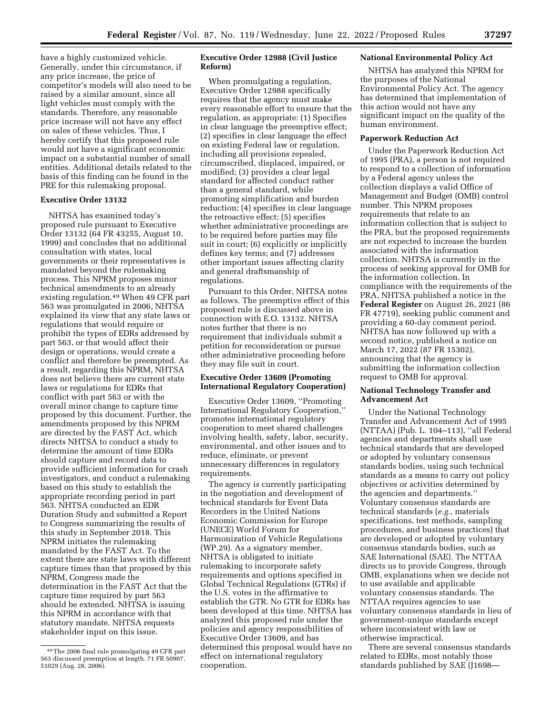have a highly customized vehicle. Generally, under this circumstance, if any price increase, the price of competitor's models will also need to be raised by a similar amount, since all light vehicles must comply with the standards. Therefore, any reasonable price increase will not have any effect on sales of these vehicles. Thus, I hereby certify that this proposed rule would not have a significant economic impact on a substantial number of small entities. Additional details related to the basis of this finding can be found in the PRE for this rulemaking proposal.

### **Executive Order 13132**

NHTSA has examined today's proposed rule pursuant to Executive Order 13132 (64 FR 43255, August 10, 1999) and concludes that no additional consultation with states, local governments or their representatives is mandated beyond the rulemaking process. This NPRM proposes minor technical amendments to an already existing regulation.49 When 49 CFR part 563 was promulgated in 2006, NHTSA explained its view that any state laws or regulations that would require or prohibit the types of EDRs addressed by part 563, or that would affect their design or operations, would create a conflict and therefore be preempted. As a result, regarding this NPRM, NHTSA does not believe there are current state laws or regulations for EDRs that conflict with part 563 or with the overall minor change to capture time proposed by this document. Further, the amendments proposed by this NPRM are directed by the FAST Act, which directs NHTSA to conduct a study to determine the amount of time EDRs should capture and record data to provide sufficient information for crash investigators, and conduct a rulemaking based on this study to establish the appropriate recording period in part 563. NHTSA conducted an EDR Duration Study and submitted a Report to Congress summarizing the results of this study in September 2018. This NPRM initiates the rulemaking mandated by the FAST Act. To the extent there are state laws with different capture times than that proposed by this NPRM, Congress made the determination in the FAST Act that the capture time required by part 563 should be extended. NHTSA is issuing this NPRM in accordance with that statutory mandate. NHTSA requests stakeholder input on this issue.

# **Executive Order 12988 (Civil Justice Reform)**

When promulgating a regulation, Executive Order 12988 specifically requires that the agency must make every reasonable effort to ensure that the regulation, as appropriate: (1) Specifies in clear language the preemptive effect; (2) specifies in clear language the effect on existing Federal law or regulation, including all provisions repealed, circumscribed, displaced, impaired, or modified; (3) provides a clear legal standard for affected conduct rather than a general standard, while promoting simplification and burden reduction; (4) specifies in clear language the retroactive effect; (5) specifies whether administrative proceedings are to be required before parties may file suit in court; (6) explicitly or implicitly defines key terms; and (7) addresses other important issues affecting clarity and general draftsmanship of regulations.

Pursuant to this Order, NHTSA notes as follows. The preemptive effect of this proposed rule is discussed above in connection with E.O. 13132. NHTSA notes further that there is no requirement that individuals submit a petition for reconsideration or pursue other administrative proceeding before they may file suit in court.

# **Executive Order 13609 (Promoting International Regulatory Cooperation)**

Executive Order 13609, ''Promoting International Regulatory Cooperation,'' promotes international regulatory cooperation to meet shared challenges involving health, safety, labor, security, environmental, and other issues and to reduce, eliminate, or prevent unnecessary differences in regulatory requirements.

The agency is currently participating in the negotiation and development of technical standards for Event Data Recorders in the United Nations Economic Commission for Europe (UNECE) World Forum for Harmonization of Vehicle Regulations (WP.29). As a signatory member, NHTSA is obligated to initiate rulemaking to incorporate safety requirements and options specified in Global Technical Regulations (GTRs) if the U.S. votes in the affirmative to establish the GTR. No GTR for EDRs has been developed at this time. NHTSA has analyzed this proposed rule under the policies and agency responsibilities of Executive Order 13609, and has determined this proposal would have no effect on international regulatory cooperation.

### **National Environmental Policy Act**

NHTSA has analyzed this NPRM for the purposes of the National Environmental Policy Act. The agency has determined that implementation of this action would not have any significant impact on the quality of the human environment.

## **Paperwork Reduction Act**

Under the Paperwork Reduction Act of 1995 (PRA), a person is not required to respond to a collection of information by a Federal agency unless the collection displays a valid Office of Management and Budget (OMB) control number. This NPRM proposes requirements that relate to an information collection that is subject to the PRA, but the proposed requirements are not expected to increase the burden associated with the information collection. NHTSA is currently in the process of seeking approval for OMB for the information collection. In compliance with the requirements of the PRA, NHTSA published a notice in the **Federal Register** on August 26, 2021 (86 FR 47719), seeking public comment and providing a 60-day comment period. NHTSA has now followed up with a second notice, published a notice on March 17, 2022 (87 FR 15302), announcing that the agency is submitting the information collection request to OMB for approval.

## **National Technology Transfer and Advancement Act**

Under the National Technology Transfer and Advancement Act of 1995 (NTTAA) (Pub. L. 104–113), ''all Federal agencies and departments shall use technical standards that are developed or adopted by voluntary consensus standards bodies, using such technical standards as a means to carry out policy objectives or activities determined by the agencies and departments.'' Voluntary consensus standards are technical standards (*e.g.,* materials specifications, test methods, sampling procedures, and business practices) that are developed or adopted by voluntary consensus standards bodies, such as SAE International (SAE). The NTTAA directs us to provide Congress, through OMB, explanations when we decide not to use available and applicable voluntary consensus standards. The NTTAA requires agencies to use voluntary consensus standards in lieu of government-unique standards except where inconsistent with law or otherwise impractical.

There are several consensus standards related to EDRs, most notably those standards published by SAE (J1698—

<sup>49</sup>The 2006 final rule promulgating 49 CFR part 563 discussed preemption at length. 71 FR 50907, 51029 (Aug. 28, 2006).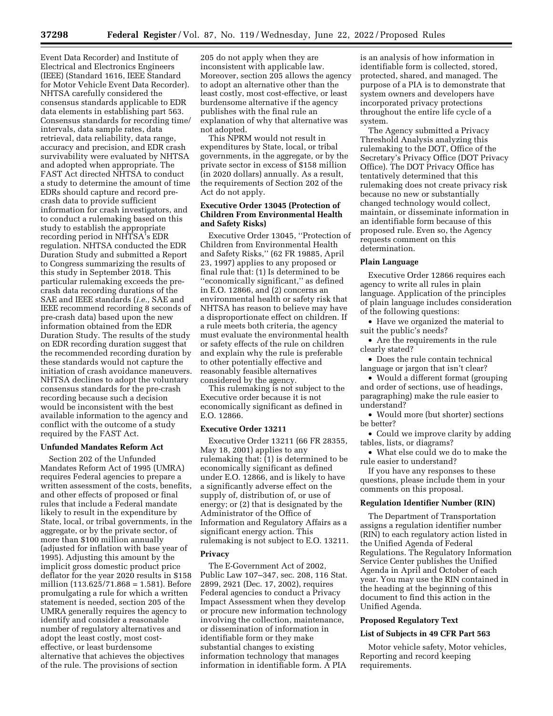Event Data Recorder) and Institute of Electrical and Electronics Engineers (IEEE) (Standard 1616, IEEE Standard for Motor Vehicle Event Data Recorder). NHTSA carefully considered the consensus standards applicable to EDR data elements in establishing part 563. Consensus standards for recording time/ intervals, data sample rates, data retrieval, data reliability, data range, accuracy and precision, and EDR crash survivability were evaluated by NHTSA and adopted when appropriate. The FAST Act directed NHTSA to conduct a study to determine the amount of time EDRs should capture and record precrash data to provide sufficient information for crash investigators, and to conduct a rulemaking based on this study to establish the appropriate recording period in NHTSA's EDR regulation. NHTSA conducted the EDR Duration Study and submitted a Report to Congress summarizing the results of this study in September 2018. This particular rulemaking exceeds the precrash data recording durations of the SAE and IEEE standards (*i.e.,* SAE and IEEE recommend recording 8 seconds of pre-crash data) based upon the new information obtained from the EDR Duration Study. The results of the study on EDR recording duration suggest that the recommended recording duration by these standards would not capture the initiation of crash avoidance maneuvers. NHTSA declines to adopt the voluntary consensus standards for the pre-crash recording because such a decision would be inconsistent with the best available information to the agency and conflict with the outcome of a study required by the FAST Act.

### **Unfunded Mandates Reform Act**

Section 202 of the Unfunded Mandates Reform Act of 1995 (UMRA) requires Federal agencies to prepare a written assessment of the costs, benefits, and other effects of proposed or final rules that include a Federal mandate likely to result in the expenditure by State, local, or tribal governments, in the aggregate, or by the private sector, of more than \$100 million annually (adjusted for inflation with base year of 1995). Adjusting this amount by the implicit gross domestic product price deflator for the year 2020 results in \$158 million (113.625/71.868 = 1.581). Before promulgating a rule for which a written statement is needed, section 205 of the UMRA generally requires the agency to identify and consider a reasonable number of regulatory alternatives and adopt the least costly, most costeffective, or least burdensome alternative that achieves the objectives of the rule. The provisions of section

205 do not apply when they are inconsistent with applicable law. Moreover, section 205 allows the agency to adopt an alternative other than the least costly, most cost-effective, or least burdensome alternative if the agency publishes with the final rule an explanation of why that alternative was not adopted.

This NPRM would not result in expenditures by State, local, or tribal governments, in the aggregate, or by the private sector in excess of \$158 million (in 2020 dollars) annually. As a result, the requirements of Section 202 of the Act do not apply.

# **Executive Order 13045 (Protection of Children From Environmental Health and Safety Risks)**

Executive Order 13045, ''Protection of Children from Environmental Health and Safety Risks,'' (62 FR 19885, April 23, 1997) applies to any proposed or final rule that: (1) Is determined to be ''economically significant,'' as defined in E.O. 12866, and (2) concerns an environmental health or safety risk that NHTSA has reason to believe may have a disproportionate effect on children. If a rule meets both criteria, the agency must evaluate the environmental health or safety effects of the rule on children and explain why the rule is preferable to other potentially effective and reasonably feasible alternatives considered by the agency.

This rulemaking is not subject to the Executive order because it is not economically significant as defined in E.O. 12866.

### **Executive Order 13211**

Executive Order 13211 (66 FR 28355, May 18, 2001) applies to any rulemaking that: (1) is determined to be economically significant as defined under E.O. 12866, and is likely to have a significantly adverse effect on the supply of, distribution of, or use of energy; or (2) that is designated by the Administrator of the Office of Information and Regulatory Affairs as a significant energy action. This rulemaking is not subject to E.O. 13211.

#### **Privacy**

The E-Government Act of 2002, Public Law 107–347, sec. 208, 116 Stat. 2899, 2921 (Dec. 17, 2002), requires Federal agencies to conduct a Privacy Impact Assessment when they develop or procure new information technology involving the collection, maintenance, or dissemination of information in identifiable form or they make substantial changes to existing information technology that manages information in identifiable form. A PIA is an analysis of how information in identifiable form is collected, stored, protected, shared, and managed. The purpose of a PIA is to demonstrate that system owners and developers have incorporated privacy protections throughout the entire life cycle of a system.

The Agency submitted a Privacy Threshold Analysis analyzing this rulemaking to the DOT, Office of the Secretary's Privacy Office (DOT Privacy Office). The DOT Privacy Office has tentatively determined that this rulemaking does not create privacy risk because no new or substantially changed technology would collect, maintain, or disseminate information in an identifiable form because of this proposed rule. Even so, the Agency requests comment on this determination.

### **Plain Language**

Executive Order 12866 requires each agency to write all rules in plain language. Application of the principles of plain language includes consideration of the following questions:

• Have we organized the material to suit the public's needs?

• Are the requirements in the rule clearly stated?

• Does the rule contain technical language or jargon that isn't clear?

• Would a different format (grouping and order of sections, use of headings, paragraphing) make the rule easier to understand?

• Would more (but shorter) sections be better?

• Could we improve clarity by adding tables, lists, or diagrams?

• What else could we do to make the rule easier to understand?

If you have any responses to these questions, please include them in your comments on this proposal.

## **Regulation Identifier Number (RIN)**

The Department of Transportation assigns a regulation identifier number (RIN) to each regulatory action listed in the Unified Agenda of Federal Regulations. The Regulatory Information Service Center publishes the Unified Agenda in April and October of each year. You may use the RIN contained in the heading at the beginning of this document to find this action in the Unified Agenda.

#### **Proposed Regulatory Text**

#### **List of Subjects in 49 CFR Part 563**

Motor vehicle safety, Motor vehicles, Reporting and record keeping requirements.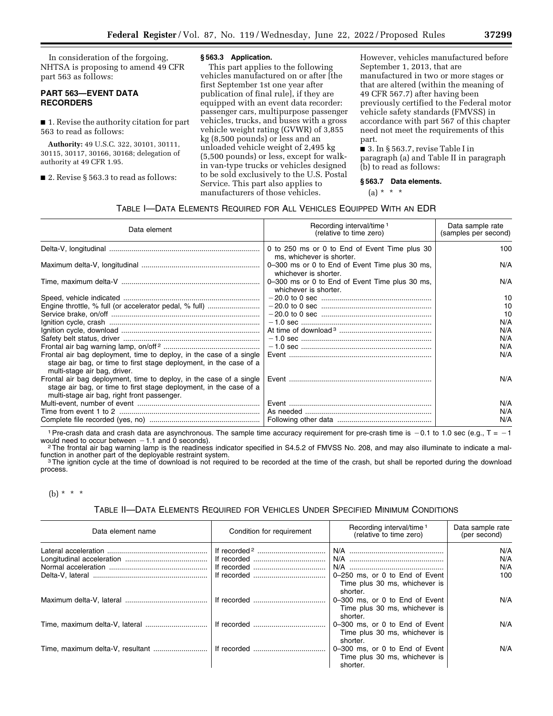In consideration of the forgoing, NHTSA is proposing to amend 49 CFR part 563 as follows:

# **PART 563—EVENT DATA RECORDERS**

■ 1. Revise the authority citation for part 563 to read as follows:

**Authority:** 49 U.S.C. 322, 30101, 30111, 30115, 30117, 30166, 30168; delegation of authority at 49 CFR 1.95.

■ 2. Revise § 563.3 to read as follows:

#### **§ 563.3 Application.**

This part applies to the following vehicles manufactured on or after [the first September 1st one year after publication of final rule], if they are equipped with an event data recorder: passenger cars, multipurpose passenger vehicles, trucks, and buses with a gross vehicle weight rating (GVWR) of 3,855 kg (8,500 pounds) or less and an unloaded vehicle weight of 2,495 kg (5,500 pounds) or less, except for walkin van-type trucks or vehicles designed to be sold exclusively to the U.S. Postal Service. This part also applies to manufacturers of those vehicles.

However, vehicles manufactured before September 1, 2013, that are manufactured in two or more stages or that are altered (within the meaning of 49 CFR 567.7) after having been previously certified to the Federal motor vehicle safety standards (FMVSS) in accordance with part 567 of this chapter need not meet the requirements of this part.

■ 3. In § 563.7, revise Table I in paragraph (a) and Table II in paragraph (b) to read as follows:

#### **§ 563.7 Data elements.**

 $(a) * * * *$ 

# TABLE I—DATA ELEMENTS REQUIRED FOR ALL VEHICLES EQUIPPED WITH AN EDR

| Recording interval/time <sup>1</sup><br>(relative to time zero)         | Data sample rate<br>(samples per second) |
|-------------------------------------------------------------------------|------------------------------------------|
| 0 to 250 ms or 0 to End of Event Time plus 30                           | 100                                      |
| 0-300 ms or 0 to End of Event Time plus 30 ms,<br>whichever is shorter. | N/A                                      |
| 0-300 ms or 0 to End of Event Time plus 30 ms,<br>whichever is shorter. | N/A                                      |
|                                                                         | 10                                       |
|                                                                         | 10                                       |
|                                                                         | 10                                       |
|                                                                         | N/A                                      |
|                                                                         | N/A                                      |
|                                                                         | N/A                                      |
|                                                                         | N/A                                      |
|                                                                         | N/A                                      |
|                                                                         | N/A                                      |
|                                                                         | N/A                                      |
|                                                                         | N/A                                      |
|                                                                         | N/A                                      |
|                                                                         | ms, whichever is shorter.                |

1 Pre-crash data and crash data are asynchronous. The sample time accuracy requirement for pre-crash time is  $-0.1$  to 1.0 sec (e.g., T =  $-1$  would need to occur between  $-1.1$  and 0 seconds).

<sup>2</sup>The frontal air bag warning lamp is the readiness indicator specified in S4.5.2 of FMVSS No. 208, and may also illuminate to indicate a malfunction in another part of the deployable restraint system.<br><sup>3</sup>The ignition cycle at the time of download is not required to be recorded at the time of the crash, but shall be reported during the download

process.

# (b) \* \* \*

### TABLE II—DATA ELEMENTS REQUIRED FOR VEHICLES UNDER SPECIFIED MINIMUM CONDITIONS

| Data element name                               | Condition for requirement | Recording interval/time <sup>1</sup><br>(relative to time zero)             | Data sample rate<br>(per second) |
|-------------------------------------------------|---------------------------|-----------------------------------------------------------------------------|----------------------------------|
|                                                 |                           | N/A                                                                         | N/A                              |
|                                                 |                           |                                                                             | N/A                              |
|                                                 |                           |                                                                             | N/A                              |
|                                                 |                           | 0-250 ms, or 0 to End of Event<br>Time plus 30 ms, whichever is<br>shorter. | 100                              |
|                                                 |                           | 0-300 ms, or 0 to End of Event<br>Time plus 30 ms, whichever is<br>shorter. | N/A                              |
|                                                 |                           | 0-300 ms, or 0 to End of Event<br>Time plus 30 ms, whichever is<br>shorter. | N/A                              |
| Time, maximum delta-V, resultant    If recorded |                           | 0-300 ms, or 0 to End of Event<br>Time plus 30 ms, whichever is<br>shorter. | N/A                              |